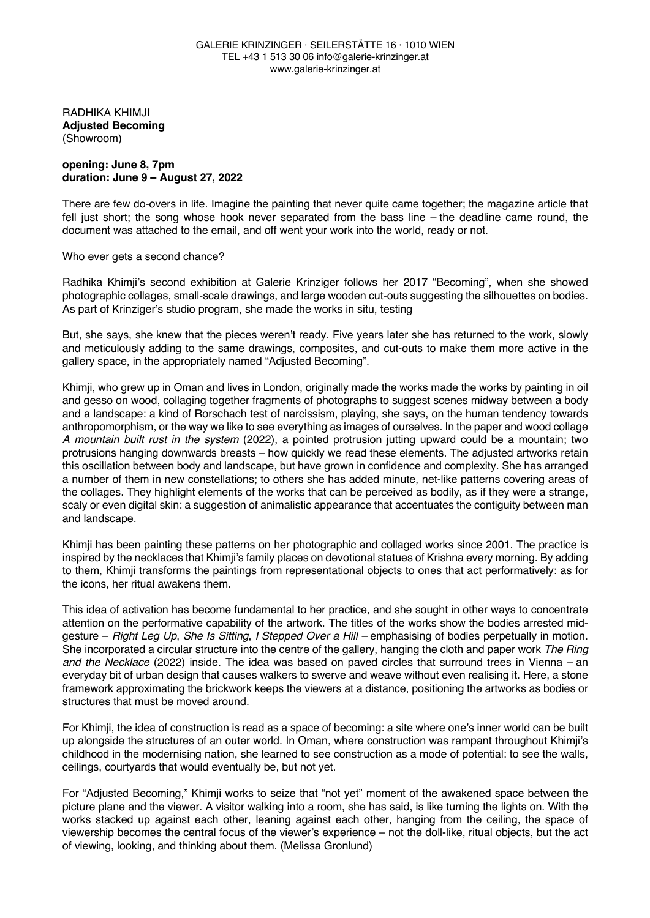RADHIKA KHIMJI **Adjusted Becoming** (Showroom)

## **opening: June 8, 7pm duration: June 9 – August 27, 2022**

There are few do-overs in life. Imagine the painting that never quite came together; the magazine article that fell just short; the song whose hook never separated from the bass line – the deadline came round, the document was attached to the email, and off went your work into the world, ready or not.

## Who ever gets a second chance?

Radhika Khimji's second exhibition at Galerie Krinziger follows her 2017 "Becoming", when she showed photographic collages, small-scale drawings, and large wooden cut-outs suggesting the silhouettes on bodies. As part of Krinziger's studio program, she made the works in situ, testing

But, she says, she knew that the pieces weren't ready. Five years later she has returned to the work, slowly and meticulously adding to the same drawings, composites, and cut-outs to make them more active in the gallery space, in the appropriately named "Adjusted Becoming".

Khimji, who grew up in Oman and lives in London, originally made the works made the works by painting in oil and gesso on wood, collaging together fragments of photographs to suggest scenes midway between a body and a landscape: a kind of Rorschach test of narcissism, playing, she says, on the human tendency towards anthropomorphism, or the way we like to see everything as images of ourselves. In the paper and wood collage *A mountain built rust in the system* (2022), a pointed protrusion jutting upward could be a mountain; two protrusions hanging downwards breasts – how quickly we read these elements. The adjusted artworks retain this oscillation between body and landscape, but have grown in confidence and complexity. She has arranged a number of them in new constellations; to others she has added minute, net-like patterns covering areas of the collages. They highlight elements of the works that can be perceived as bodily, as if they were a strange, scaly or even digital skin: a suggestion of animalistic appearance that accentuates the contiguity between man and landscape.

Khimji has been painting these patterns on her photographic and collaged works since 2001. The practice is inspired by the necklaces that Khimji's family places on devotional statues of Krishna every morning. By adding to them, Khimji transforms the paintings from representational objects to ones that act performatively: as for the icons, her ritual awakens them.

This idea of activation has become fundamental to her practice, and she sought in other ways to concentrate attention on the performative capability of the artwork. The titles of the works show the bodies arrested midgesture – *Right Leg Up*, *She Is Sitting*, *I Stepped Over a Hill –* emphasising of bodies perpetually in motion. She incorporated a circular structure into the centre of the gallery, hanging the cloth and paper work *The Ring and the Necklace* (2022) inside. The idea was based on paved circles that surround trees in Vienna – an everyday bit of urban design that causes walkers to swerve and weave without even realising it. Here, a stone framework approximating the brickwork keeps the viewers at a distance, positioning the artworks as bodies or structures that must be moved around.

For Khimji, the idea of construction is read as a space of becoming: a site where one's inner world can be built up alongside the structures of an outer world. In Oman, where construction was rampant throughout Khimji's childhood in the modernising nation, she learned to see construction as a mode of potential: to see the walls, ceilings, courtyards that would eventually be, but not yet.

For "Adjusted Becoming," Khimji works to seize that "not yet" moment of the awakened space between the picture plane and the viewer. A visitor walking into a room, she has said, is like turning the lights on. With the works stacked up against each other, leaning against each other, hanging from the ceiling, the space of viewership becomes the central focus of the viewer's experience – not the doll-like, ritual objects, but the act of viewing, looking, and thinking about them. (Melissa Gronlund)